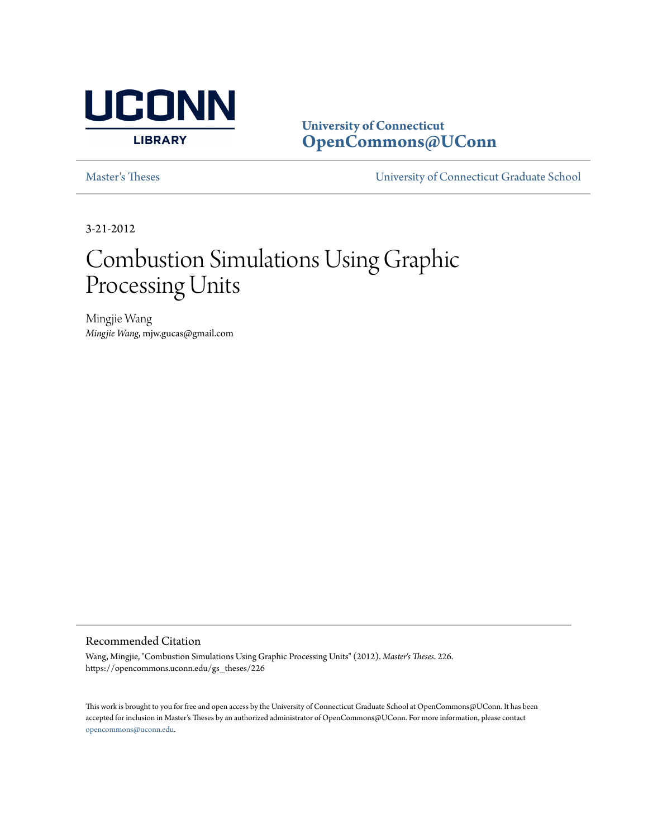

**University of Connecticut [OpenCommons@UConn](https://opencommons.uconn.edu)**

[Master's Theses](https://opencommons.uconn.edu/gs_theses) [University of Connecticut Graduate School](https://opencommons.uconn.edu/gs)

3-21-2012

# Combustion Simulations Using Graphic Processing Units

Mingjie Wang *Mingjie Wang*, mjw.gucas@gmail.com

#### Recommended Citation

Wang, Mingjie, "Combustion Simulations Using Graphic Processing Units" (2012). *Master's Theses*. 226. https://opencommons.uconn.edu/gs\_theses/226

This work is brought to you for free and open access by the University of Connecticut Graduate School at OpenCommons@UConn. It has been accepted for inclusion in Master's Theses by an authorized administrator of OpenCommons@UConn. For more information, please contact [opencommons@uconn.edu](mailto:opencommons@uconn.edu).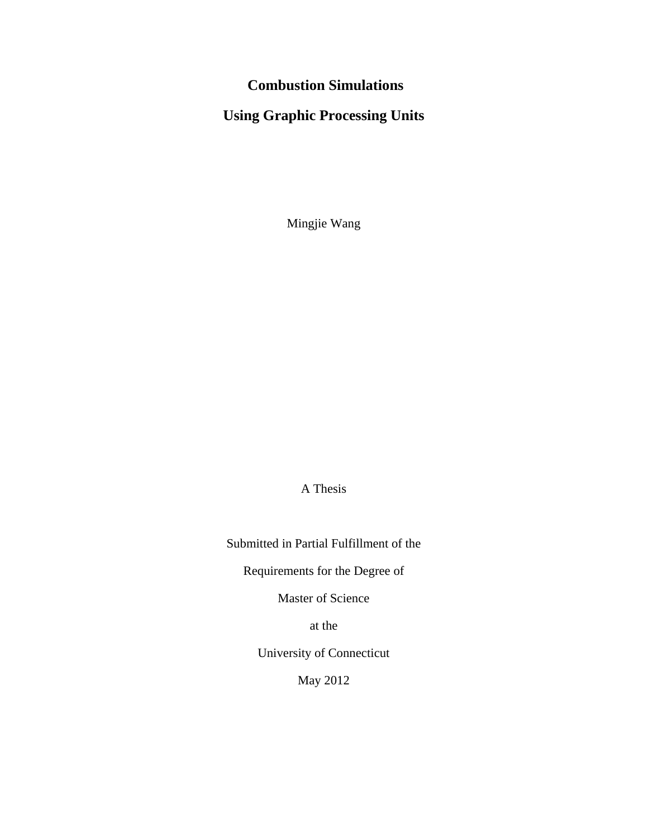# **Combustion Simulations**

# **Using Graphic Processing Units**

Mingjie Wang

A Thesis

Submitted in Partial Fulfillment of the

Requirements for the Degree of

Master of Science

at the

University of Connecticut

May 2012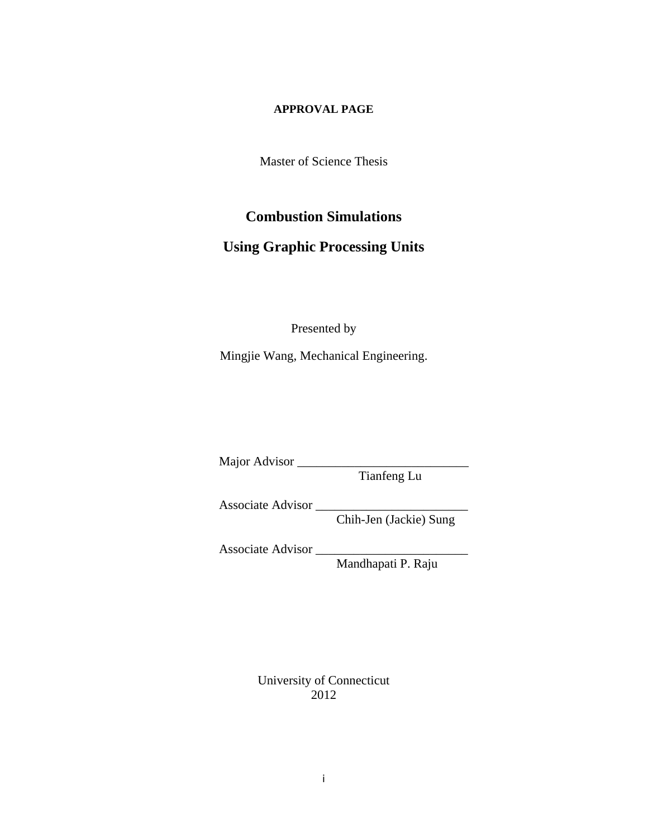#### **APPROVAL PAGE**

Master of Science Thesis

## **Combustion Simulations**

## **Using Graphic Processing Units**

Presented by

Mingjie Wang, Mechanical Engineering.

Major Advisor

Tianfeng Lu

Associate Advisor

Chih-Jen (Jackie) Sung

Associate Advisor

Mandhapati P. Raju

University of Connecticut 2012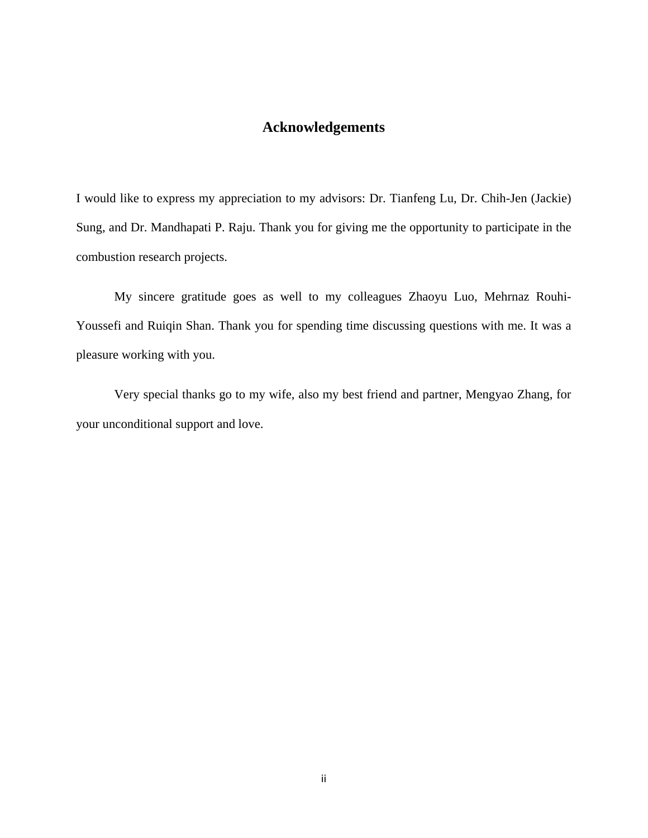### **Acknowledgements**

<span id="page-3-0"></span>I would like to express my appreciation to my advisors: Dr. Tianfeng Lu, Dr. Chih-Jen (Jackie) Sung, and Dr. Mandhapati P. Raju. Thank you for giving me the opportunity to participate in the combustion research projects.

My sincere gratitude goes as well to my colleagues Zhaoyu Luo, Mehrnaz Rouhi-Youssefi and Ruiqin Shan. Thank you for spending time discussing questions with me. It was a pleasure working with you.

Very special thanks go to my wife, also my best friend and partner, Mengyao Zhang, for your unconditional support and love.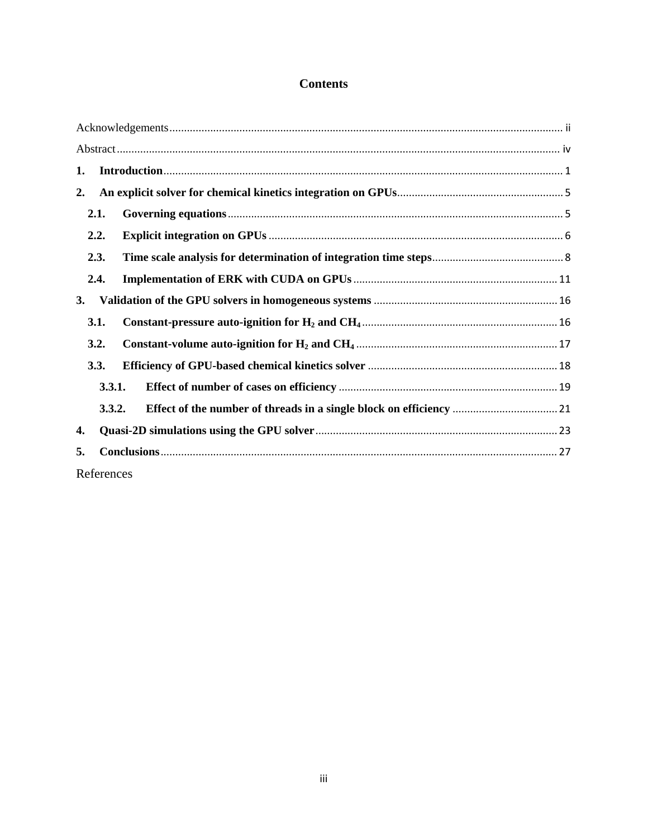## **Contents**

| 1.        |            |  |
|-----------|------------|--|
| 2.        |            |  |
|           | 2.1.       |  |
|           | 2.2.       |  |
|           | 2.3.       |  |
|           | 2.4.       |  |
| <b>3.</b> |            |  |
|           | 3.1.       |  |
|           | 3.2.       |  |
|           | 3.3.       |  |
|           | 3.3.1.     |  |
|           | 3.3.2.     |  |
| 4.        |            |  |
| 5.        |            |  |
|           | References |  |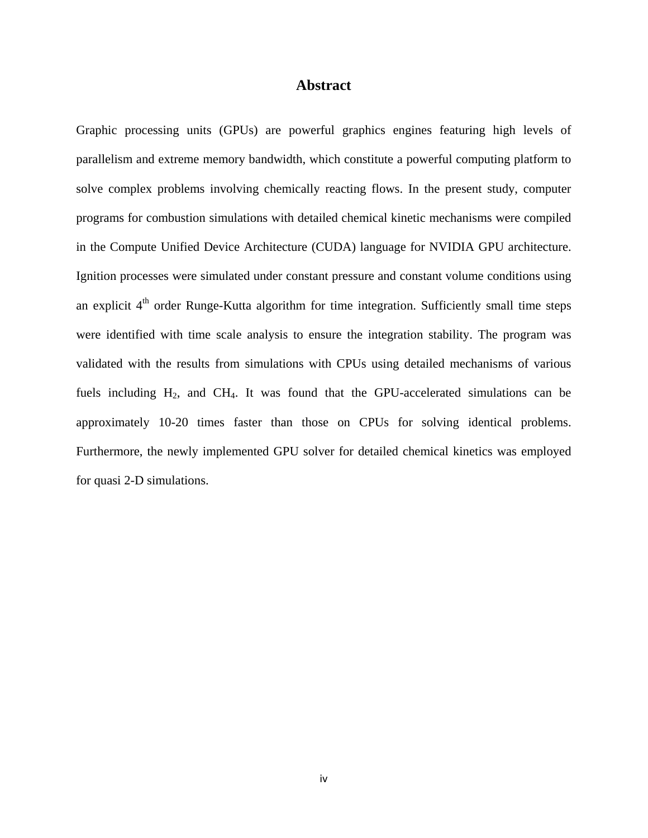#### **Abstract**

<span id="page-5-0"></span>Graphic processing units (GPUs) are powerful graphics engines featuring high levels of parallelism and extreme memory bandwidth, which constitute a powerful computing platform to solve complex problems involving chemically reacting flows. In the present study, computer programs for combustion simulations with detailed chemical kinetic mechanisms were compiled in the Compute Unified Device Architecture (CUDA) language for NVIDIA GPU architecture. Ignition processes were simulated under constant pressure and constant volume conditions using an explicit  $4<sup>th</sup>$  order Runge-Kutta algorithm for time integration. Sufficiently small time steps were identified with time scale analysis to ensure the integration stability. The program was validated with the results from simulations with CPUs using detailed mechanisms of various fuels including  $H_2$ , and CH<sub>4</sub>. It was found that the GPU-accelerated simulations can be approximately 10-20 times faster than those on CPUs for solving identical problems. Furthermore, the newly implemented GPU solver for detailed chemical kinetics was employed for quasi 2-D simulations.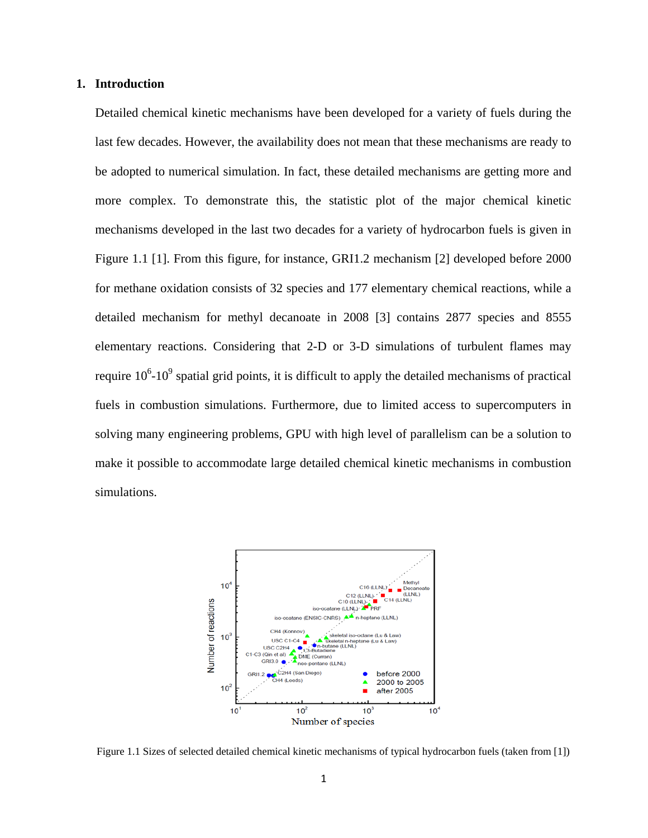#### <span id="page-6-0"></span>**1. Introduction**

Detailed chemical kinetic mechanisms have been developed for a variety of fuels during the last few decades. However, the availability does not mean that these mechanisms are ready to be adopted to numerical simulation. In fact, these detailed mechanisms are getting more and more complex. To demonstrate this, the statistic plot of the major chemical kinetic mechanisms developed in the last two decades for a variety of hydrocarbon fuels is given in Figure 1.1 [1]. From this figure, for instance, GRI1.2 mechanism [2] developed before 2000 for methane oxidation consists of 32 species and 177 elementary chemical reactions, while a detailed mechanism for methyl decanoate in 2008 [3] contains 2877 species and 8555 elementary reactions. Considering that 2-D or 3-D simulations of turbulent flames may require  $10^6$ - $10^9$  spatial grid points, it is difficult to apply the detailed mechanisms of practical fuels in combustion simulations. Furthermore, due to limited access to supercomputers in solving many engineering problems, GPU with high level of parallelism can be a solution to make it possible to accommodate large detailed chemical kinetic mechanisms in combustion simulations.



Figure 1.1 Sizes of selected detailed chemical kinetic mechanisms of typical hydrocarbon fuels (taken from [1])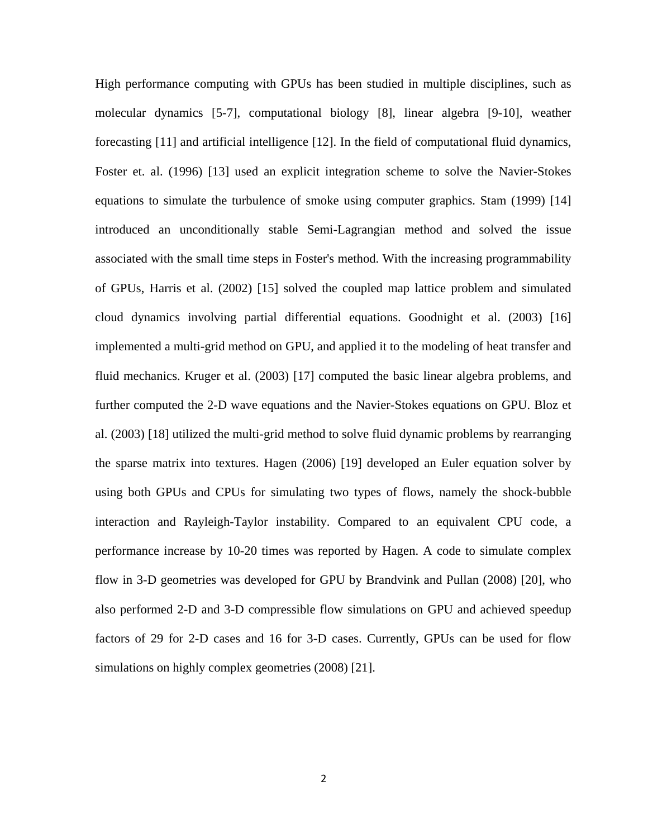High performance computing with GPUs has been studied in multiple disciplines, such as molecular dynamics [5-7], computational biology [8], linear algebra [9-10], weather forecasting [11] and artificial intelligence [12]. In the field of computational fluid dynamics, Foster et. al. (1996) [13] used an explicit integration scheme to solve the Navier-Stokes equations to simulate the turbulence of smoke using computer graphics. Stam (1999) [14] introduced an unconditionally stable Semi-Lagrangian method and solved the issue associated with the small time steps in Foster's method. With the increasing programmability of GPUs, Harris et al. (2002) [15] solved the coupled map lattice problem and simulated cloud dynamics involving partial differential equations. Goodnight et al. (2003) [16] implemented a multi-grid method on GPU, and applied it to the modeling of heat transfer and fluid mechanics. Kruger et al. (2003) [17] computed the basic linear algebra problems, and further computed the 2-D wave equations and the Navier-Stokes equations on GPU. Bloz et al. (2003) [18] utilized the multi-grid method to solve fluid dynamic problems by rearranging the sparse matrix into textures. Hagen (2006) [19] developed an Euler equation solver by using both GPUs and CPUs for simulating two types of flows, namely the shock-bubble interaction and Rayleigh-Taylor instability. Compared to an equivalent CPU code, a performance increase by 10-20 times was reported by Hagen. A code to simulate complex flow in 3-D geometries was developed for GPU by Brandvink and Pullan (2008) [20], who also performed 2-D and 3-D compressible flow simulations on GPU and achieved speedup factors of 29 for 2-D cases and 16 for 3-D cases. Currently, GPUs can be used for flow simulations on highly complex geometries (2008) [21].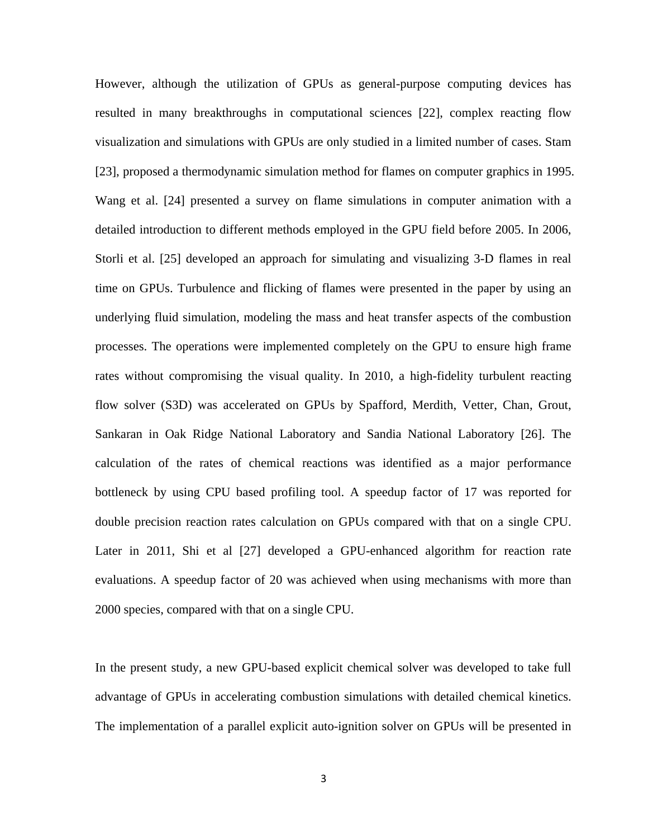However, although the utilization of GPUs as general-purpose computing devices has resulted in many breakthroughs in computational sciences [22], complex reacting flow visualization and simulations with GPUs are only studied in a limited number of cases. Stam [23], proposed a thermodynamic simulation method for flames on computer graphics in 1995. Wang et al. [24] presented a survey on flame simulations in computer animation with a detailed introduction to different methods employed in the GPU field before 2005. In 2006, Storli et al. [25] developed an approach for simulating and visualizing 3-D flames in real time on GPUs. Turbulence and flicking of flames were presented in the paper by using an underlying fluid simulation, modeling the mass and heat transfer aspects of the combustion processes. The operations were implemented completely on the GPU to ensure high frame rates without compromising the visual quality. In 2010, a high-fidelity turbulent reacting flow solver (S3D) was accelerated on GPUs by Spafford, Merdith, Vetter, Chan, Grout, Sankaran in Oak Ridge National Laboratory and Sandia National Laboratory [26]. The calculation of the rates of chemical reactions was identified as a major performance bottleneck by using CPU based profiling tool. A speedup factor of 17 was reported for double precision reaction rates calculation on GPUs compared with that on a single CPU. Later in 2011, Shi et al [27] developed a GPU-enhanced algorithm for reaction rate evaluations. A speedup factor of 20 was achieved when using mechanisms with more than 2000 species, compared with that on a single CPU.

In the present study, a new GPU-based explicit chemical solver was developed to take full advantage of GPUs in accelerating combustion simulations with detailed chemical kinetics. The implementation of a parallel explicit auto-ignition solver on GPUs will be presented in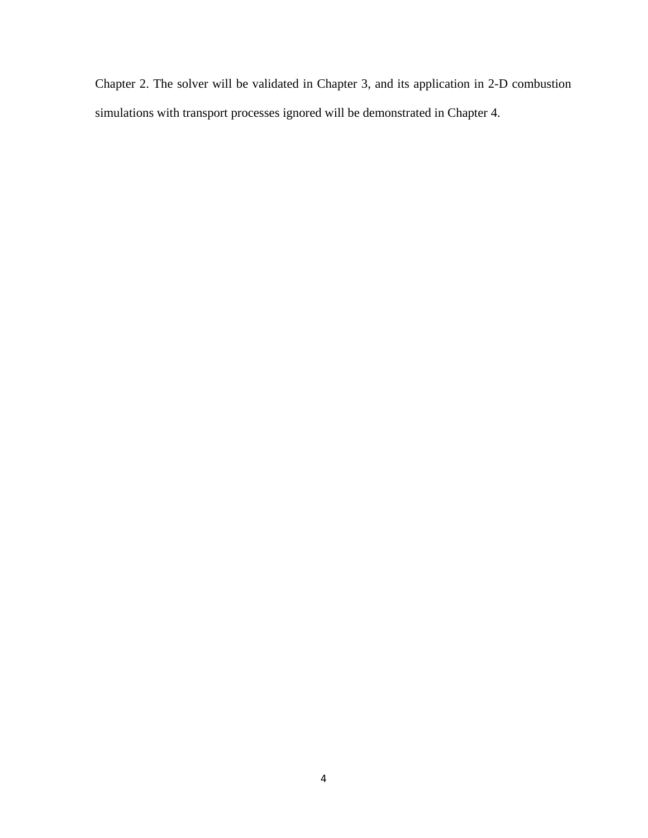Chapter 2. The solver will be validated in Chapter 3, and its application in 2-D combustion simulations with transport processes ignored will be demonstrated in Chapter 4.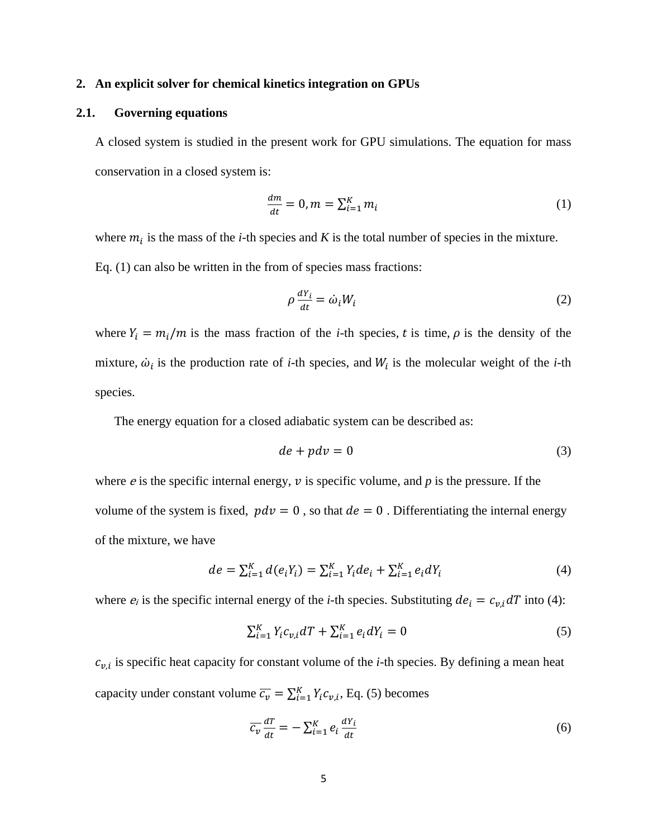#### <span id="page-10-0"></span>**2. An explicit solver for chemical kinetics integration on GPUs**

#### <span id="page-10-1"></span>**2.1. Governing equations**

A closed system is studied in the present work for GPU simulations. The equation for mass conservation in a closed system is:

$$
\frac{dm}{dt} = 0, m = \sum_{i=1}^{K} m_i \tag{1}
$$

where  $m_i$  is the mass of the *i*-th species and *K* is the total number of species in the mixture. Eq. (1) can also be written in the from of species mass fractions:

$$
\rho \frac{dY_i}{dt} = \dot{\omega}_i W_i \tag{2}
$$

where  $Y_i = m_i / m$  is the mass fraction of the *i*-th species, *t* is time,  $\rho$  is the density of the mixture,  $\dot{\omega}_i$  is the production rate of *i*-th species, and  $W_i$  is the molecular weight of the *i*-th species.

The energy equation for a closed adiabatic system can be described as:

$$
de + pdv = 0 \tag{3}
$$

where  $e$  is the specific internal energy,  $v$  is specific volume, and  $p$  is the pressure. If the volume of the system is fixed,  $pdv = 0$ , so that  $de = 0$ . Differentiating the internal energy of the mixture, we have

$$
de = \sum_{i=1}^{K} d(e_i Y_i) = \sum_{i=1}^{K} Y_i de_i + \sum_{i=1}^{K} e_i dY_i
$$
\n(4)

where  $e_i$  is the specific internal energy of the *i*-th species. Substituting  $de_i = c_{v,i} dT$  into (4):

$$
\sum_{i=1}^{K} Y_i c_{v,i} dT + \sum_{i=1}^{K} e_i dY_i = 0
$$
\n(5)

 $c_{v,i}$  is specific heat capacity for constant volume of the *i*-th species. By defining a mean heat capacity under constant volume  $\overline{c_v} = \sum_{i=1}^{K} Y_i c_{v,i}$ , Eq. (5) becomes

$$
\overline{c_v} \frac{dT}{dt} = -\sum_{i=1}^{K} e_i \frac{dY_i}{dt}
$$
\n(6)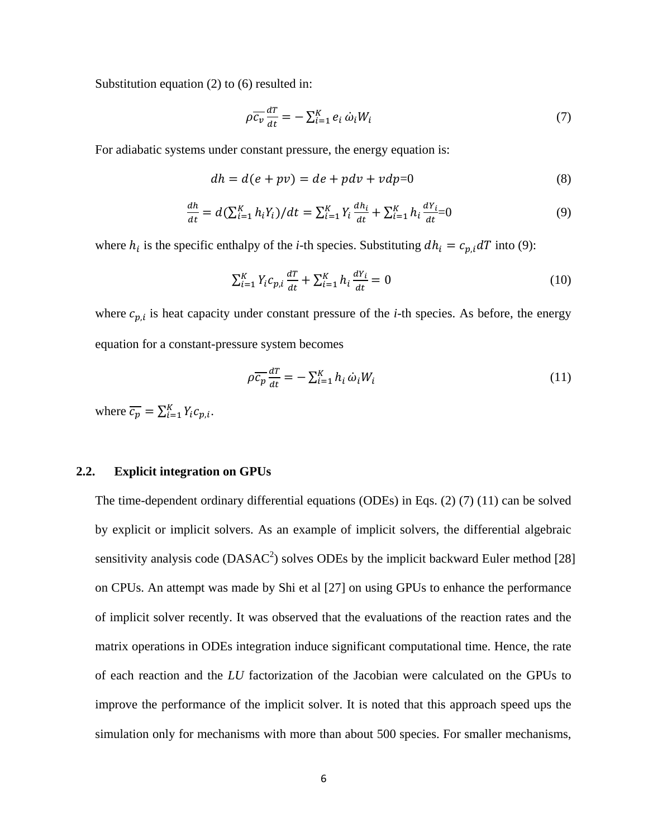Substitution equation (2) to (6) resulted in:

$$
\rho \overline{c_v} \frac{dT}{dt} = -\sum_{i=1}^{K} e_i \dot{\omega}_i W_i \tag{7}
$$

For adiabatic systems under constant pressure, the energy equation is:

$$
dh = d(e + pv) = de + pdv + vdp = 0
$$
\n(8)

$$
\frac{dh}{dt} = d(\sum_{i=1}^{K} h_i Y_i)/dt = \sum_{i=1}^{K} Y_i \frac{dh_i}{dt} + \sum_{i=1}^{K} h_i \frac{dY_i}{dt} = 0
$$
\n(9)

where  $h_i$  is the specific enthalpy of the *i*-th species. Substituting  $dh_i = c_{p,i} dT$  into (9):

$$
\sum_{i=1}^{K} Y_i c_{p,i} \frac{dT}{dt} + \sum_{i=1}^{K} h_i \frac{dY_i}{dt} = 0
$$
 (10)

where  $c_{p,i}$  is heat capacity under constant pressure of the *i*-th species. As before, the energy equation for a constant-pressure system becomes

$$
\rho \overline{c_p} \frac{dT}{dt} = -\sum_{i=1}^{K} h_i \, \dot{\omega}_i W_i \tag{11}
$$

where  $\overline{c_p} = \sum_{i=1}^{K} Y_i c_{p,i}$ .

#### <span id="page-11-0"></span>**2.2. Explicit integration on GPUs**

The time-dependent ordinary differential equations (ODEs) in Eqs. (2) (7) (11) can be solved by explicit or implicit solvers. As an example of implicit solvers, the differential algebraic sensitivity analysis code (DASAC<sup>2</sup>) solves ODEs by the implicit backward Euler method [28] on CPUs. An attempt was made by Shi et al [27] on using GPUs to enhance the performance of implicit solver recently. It was observed that the evaluations of the reaction rates and the matrix operations in ODEs integration induce significant computational time. Hence, the rate of each reaction and the *LU* factorization of the Jacobian were calculated on the GPUs to improve the performance of the implicit solver. It is noted that this approach speed ups the simulation only for mechanisms with more than about 500 species. For smaller mechanisms,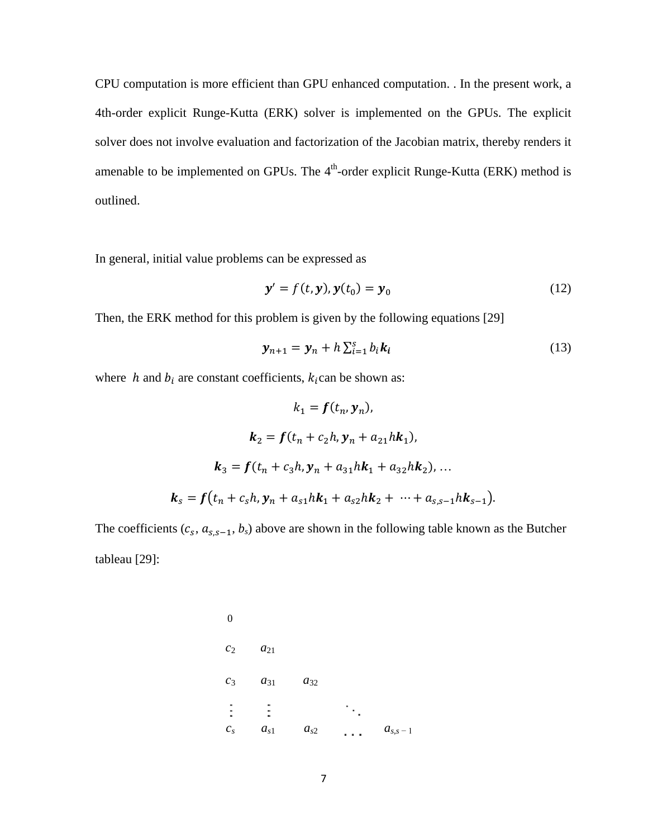CPU computation is more efficient than GPU enhanced computation. . In the present work, a 4th-order explicit Runge-Kutta (ERK) solver is implemented on the GPUs. The explicit solver does not involve evaluation and factorization of the Jacobian matrix, thereby renders it amenable to be implemented on GPUs. The  $4<sup>th</sup>$ -order explicit Runge-Kutta (ERK) method is outlined.

In general, initial value problems can be expressed as

$$
\mathbf{y}' = f(t, \mathbf{y}), \mathbf{y}(t_0) = \mathbf{y}_0 \tag{12}
$$

Then, the ERK method for this problem is given by the following equations [29]

$$
\mathbf{y}_{n+1} = \mathbf{y}_n + h \sum_{i=1}^s b_i \mathbf{k}_i \tag{13}
$$

where  $h$  and  $b_i$  are constant coefficients,  $k_i$  can be shown as:

$$
k_1 = f(t_n, y_n),
$$
  
\n
$$
k_2 = f(t_n + c_2h, y_n + a_{21}hk_1),
$$
  
\n
$$
k_3 = f(t_n + c_3h, y_n + a_{31}hk_1 + a_{32}hk_2), ...
$$
  
\n
$$
k_s = f(t_n + c_sh, y_n + a_{s1}hk_1 + a_{s2}hk_2 + ... + a_{s,s-1}hk_{s-1}).
$$

The coefficients  $(c_s, a_{s,s-1}, b_s)$  above are shown in the following table known as the Butcher tableau [29]:

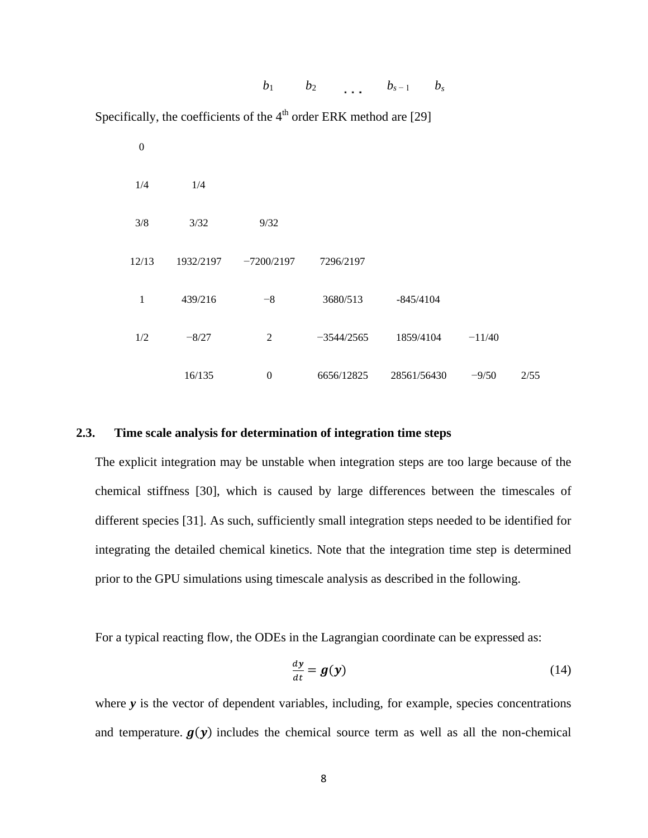$b_1$  *b*<sub>2</sub> *b<sub>s-1</sub> b<sub>s</sub>* 

Specifically, the coefficients of the  $4<sup>th</sup>$  order ERK method are [29]

| $\boldsymbol{0}$ |           |                  |              |             |          |      |
|------------------|-----------|------------------|--------------|-------------|----------|------|
| 1/4              | 1/4       |                  |              |             |          |      |
| 3/8              | 3/32      | 9/32             |              |             |          |      |
| 12/13            | 1932/2197 | $-7200/2197$     | 7296/2197    |             |          |      |
| $\mathbf{1}$     | 439/216   | $-8$             | 3680/513     | $-845/4104$ |          |      |
| 1/2              | $-8/27$   | 2                | $-3544/2565$ | 1859/4104   | $-11/40$ |      |
|                  | 16/135    | $\boldsymbol{0}$ | 6656/12825   | 28561/56430 | $-9/50$  | 2/55 |

#### <span id="page-13-0"></span>**2.3. Time scale analysis for determination of integration time steps**

The explicit integration may be unstable when integration steps are too large because of the chemical stiffness [30], which is caused by large differences between the timescales of different species [31]. As such, sufficiently small integration steps needed to be identified for integrating the detailed chemical kinetics. Note that the integration time step is determined prior to the GPU simulations using timescale analysis as described in the following.

For a typical reacting flow, the ODEs in the Lagrangian coordinate can be expressed as:

$$
\frac{dy}{dt} = g(y) \tag{14}
$$

where *y* is the vector of dependent variables, including, for example, species concentrations and temperature.  $g(y)$  includes the chemical source term as well as all the non-chemical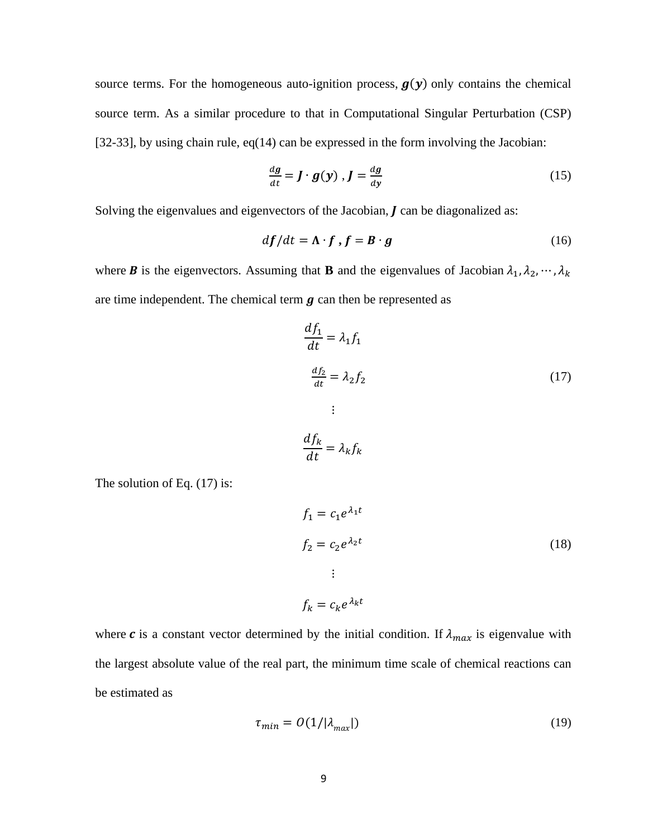source terms. For the homogeneous auto-ignition process,  $g(y)$  only contains the chemical source term. As a similar procedure to that in Computational Singular Perturbation (CSP) [32-33], by using chain rule, eq(14) can be expressed in the form involving the Jacobian:

$$
\frac{dg}{dt} = \mathbf{J} \cdot \mathbf{g}(\mathbf{y}) , \mathbf{J} = \frac{dg}{dy}
$$
 (15)

Solving the eigenvalues and eigenvectors of the Jacobian,  $J$  can be diagonalized as:

$$
df/dt = \Lambda \cdot f, f = B \cdot g \tag{16}
$$

where **B** is the eigenvectors. Assuming that **B** and the eigenvalues of Jacobian  $\lambda_1, \lambda_2, \dots, \lambda_k$ are time independent. The chemical term  $q$  can then be represented as

$$
\frac{df_1}{dt} = \lambda_1 f_1
$$
  

$$
\frac{df_2}{dt} = \lambda_2 f_2
$$
 (17)  

$$
\vdots
$$

$$
\frac{df_k}{dt} = \lambda_k f_k
$$

The solution of Eq.  $(17)$  is:

$$
f_1 = c_1 e^{\lambda_1 t}
$$
  
\n
$$
f_2 = c_2 e^{\lambda_2 t}
$$
  
\n
$$
\vdots
$$
  
\n
$$
f_k = c_k e^{\lambda_k t}
$$
  
\n(18)

where c is a constant vector determined by the initial condition. If  $\lambda_{max}$  is eigenvalue with the largest absolute value of the real part, the minimum time scale of chemical reactions can be estimated as

$$
\tau_{min} = O(1/|\lambda_{max}|) \tag{19}
$$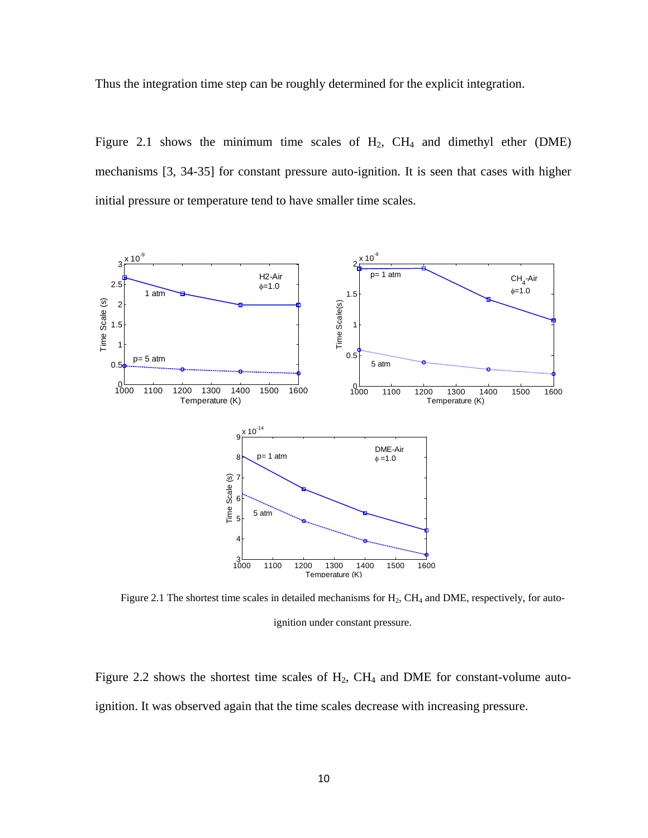Thus the integration time step can be roughly determined for the explicit integration.

Figure 2.1 shows the minimum time scales of  $H_2$ ,  $CH_4$  and dimethyl ether (DME) mechanisms [3, 34-35] for constant pressure auto-ignition. It is seen that cases with higher initial pressure or temperature tend to have smaller time scales.



Figure 2.1 The shortest time scales in detailed mechanisms for  $H_2$ ,  $CH_4$  and DME, respectively, for autoignition under constant pressure.

Figure 2.2 shows the shortest time scales of  $H_2$ ,  $CH_4$  and DME for constant-volume autoignition. It was observed again that the time scales decrease with increasing pressure.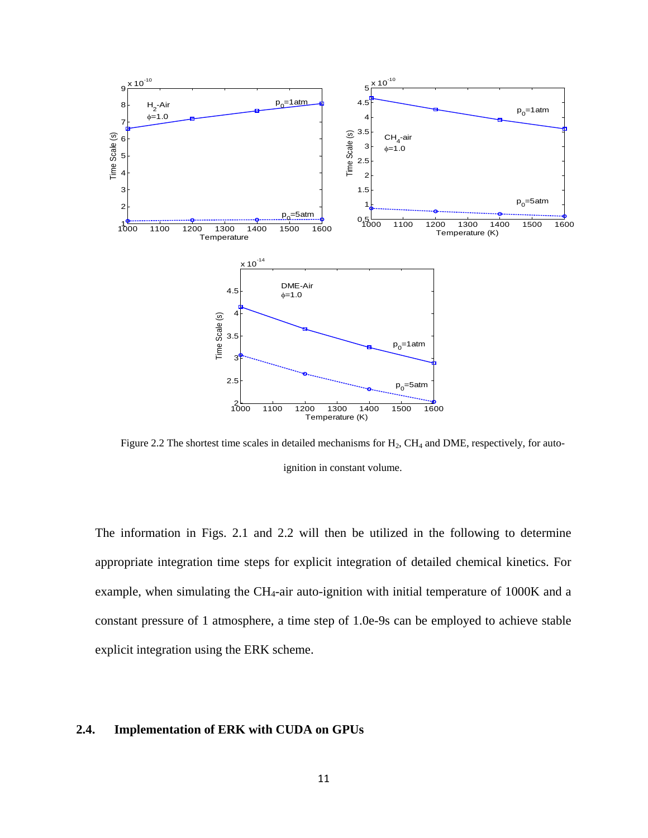

Figure 2.2 The shortest time scales in detailed mechanisms for  $H_2$ ,  $CH_4$  and DME, respectively, for autoignition in constant volume.

The information in Figs. 2.1 and 2.2 will then be utilized in the following to determine appropriate integration time steps for explicit integration of detailed chemical kinetics. For example, when simulating the CH<sub>4</sub>-air auto-ignition with initial temperature of  $1000K$  and a constant pressure of 1 atmosphere, a time step of 1.0e-9s can be employed to achieve stable explicit integration using the ERK scheme.

#### <span id="page-16-0"></span>**2.4. Implementation of ERK with CUDA on GPUs**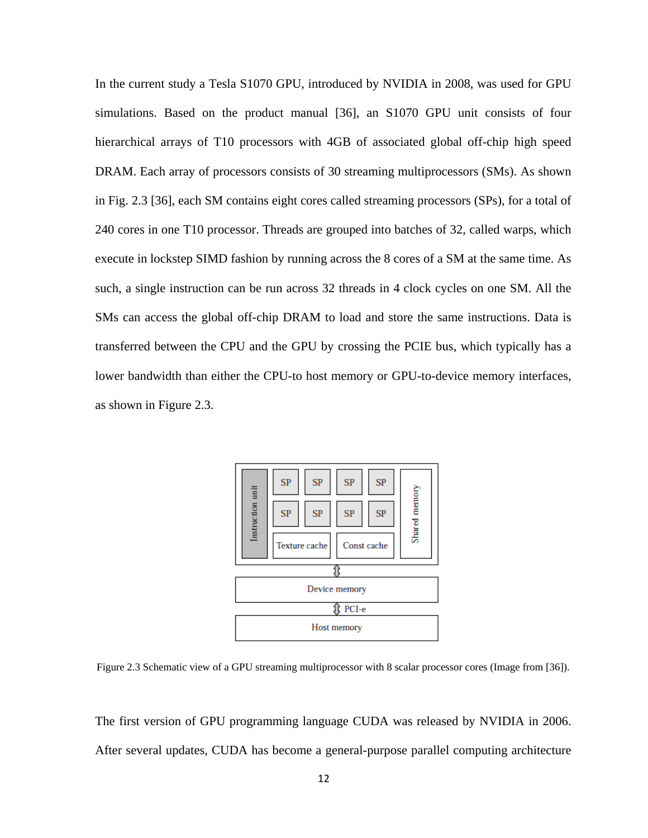In the current study a Tesla S1070 GPU, introduced by NVIDIA in 2008, was used for GPU simulations. Based on the product manual [36], an S1070 GPU unit consists of four hierarchical arrays of T10 processors with 4GB of associated global off-chip high speed DRAM. Each array of processors consists of 30 streaming multiprocessors (SMs). As shown in Fig. 2.3 [36], each SM contains eight cores called streaming processors (SPs), for a total of 240 cores in one T10 processor. Threads are grouped into batches of 32, called warps, which execute in lockstep SIMD fashion by running across the 8 cores of a SM at the same time. As such, a single instruction can be run across 32 threads in 4 clock cycles on one SM. All the SMs can access the global off-chip DRAM to load and store the same instructions. Data is transferred between the CPU and the GPU by crossing the PCIE bus, which typically has a lower bandwidth than either the CPU-to host memory or GPU-to-device memory interfaces, as shown in Figure 2.3.



Figure 2.3 Schematic view of a GPU streaming multiprocessor with 8 scalar processor cores (Image from [36]).

The first version of GPU programming language CUDA was released by NVIDIA in 2006. After several updates, CUDA has become a general-purpose parallel computing architecture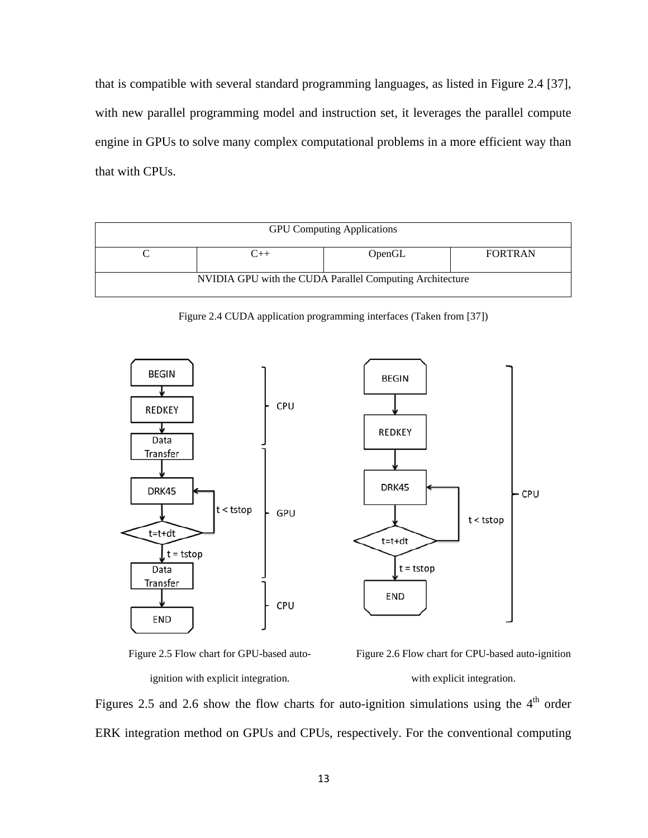that is compatible with several standard programming languages, as listed in Figure 2.4 [37], with new parallel programming model and instruction set, it leverages the parallel compute engine in GPUs to solve many complex computational problems in a more efficient way than that with CPUs.

| <b>GPU</b> Computing Applications                        |  |        |                |  |  |
|----------------------------------------------------------|--|--------|----------------|--|--|
|                                                          |  | OpenGL | <b>FORTRAN</b> |  |  |
| NVIDIA GPU with the CUDA Parallel Computing Architecture |  |        |                |  |  |

Figure 2.4 CUDA application programming interfaces (Taken from [37])





Figure 2.6 Flow chart for CPU-based auto-ignition with explicit integration.

Figures 2.5 and 2.6 show the flow charts for auto-ignition simulations using the  $4<sup>th</sup>$  order ERK integration method on GPUs and CPUs, respectively. For the conventional computing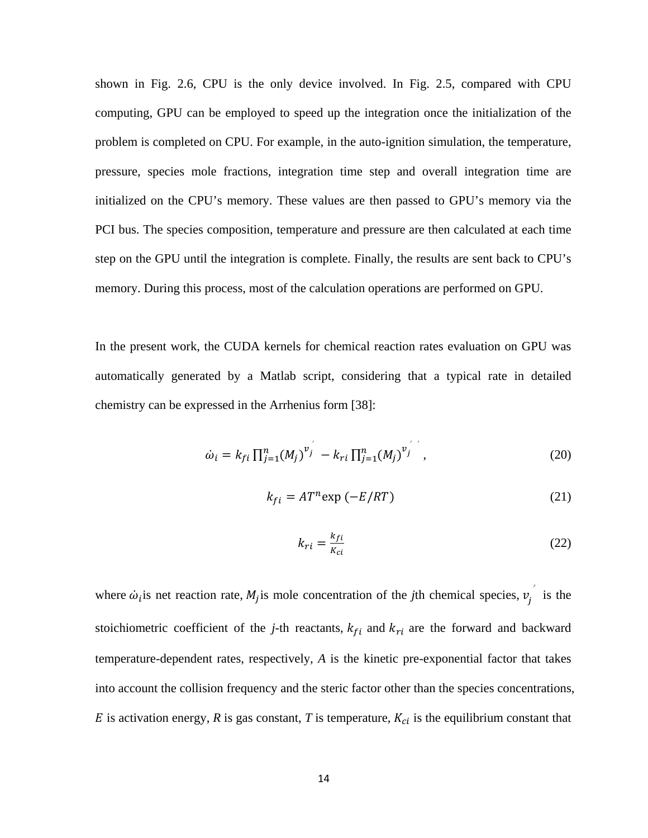shown in Fig. 2.6, CPU is the only device involved. In Fig. 2.5, compared with CPU computing, GPU can be employed to speed up the integration once the initialization of the problem is completed on CPU. For example, in the auto-ignition simulation, the temperature, pressure, species mole fractions, integration time step and overall integration time are initialized on the CPU's memory. These values are then passed to GPU's memory via the PCI bus. The species composition, temperature and pressure are then calculated at each time step on the GPU until the integration is complete. Finally, the results are sent back to CPU's memory. During this process, most of the calculation operations are performed on GPU.

In the present work, the CUDA kernels for chemical reaction rates evaluation on GPU was automatically generated by a Matlab script, considering that a typical rate in detailed chemistry can be expressed in the Arrhenius form [38]:

$$
\dot{\omega}_i = k_{fi} \prod_{j=1}^n (M_j)^{v_j} - k_{ri} \prod_{j=1}^n (M_j)^{v_j}, \qquad (20)
$$

$$
k_{fi} = AT^{n} \exp(-E/RT) \tag{21}
$$

$$
k_{ri} = \frac{k_{fi}}{k_{ci}} \tag{22}
$$

where  $\dot{\omega}_i$  is net reaction rate,  $M_j$  is mole concentration of the *j*th chemical species,  $v_j^{\prime}$  is the stoichiometric coefficient of the *j*-th reactants,  $k_{fi}$  and  $k_{ri}$  are the forward and backward temperature-dependent rates, respectively*, A* is the kinetic pre-exponential factor that takes into account the collision frequency and the steric factor other than the species concentrations,  $E$  is activation energy,  $R$  is gas constant,  $T$  is temperature,  $K_{ci}$  is the equilibrium constant that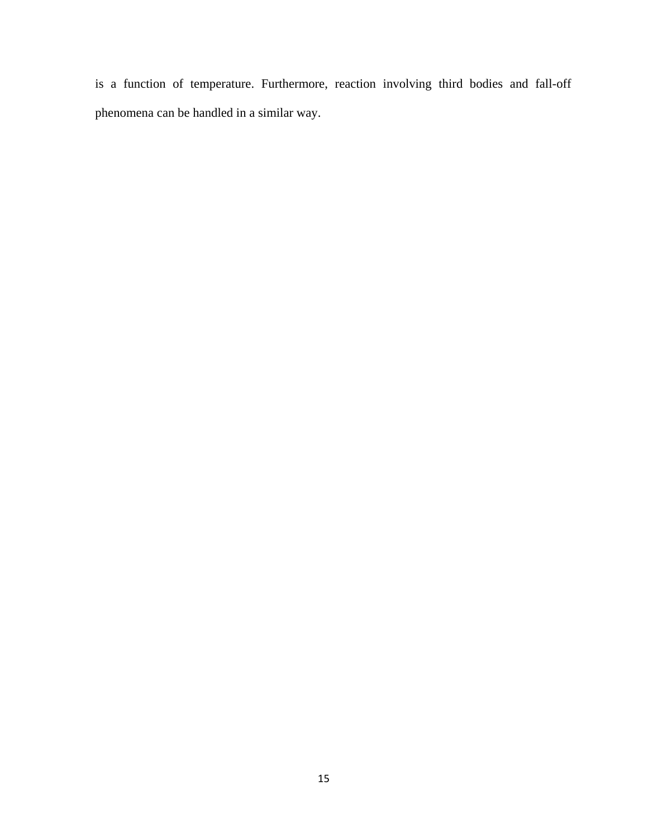is a function of temperature. Furthermore, reaction involving third bodies and fall-off phenomena can be handled in a similar way.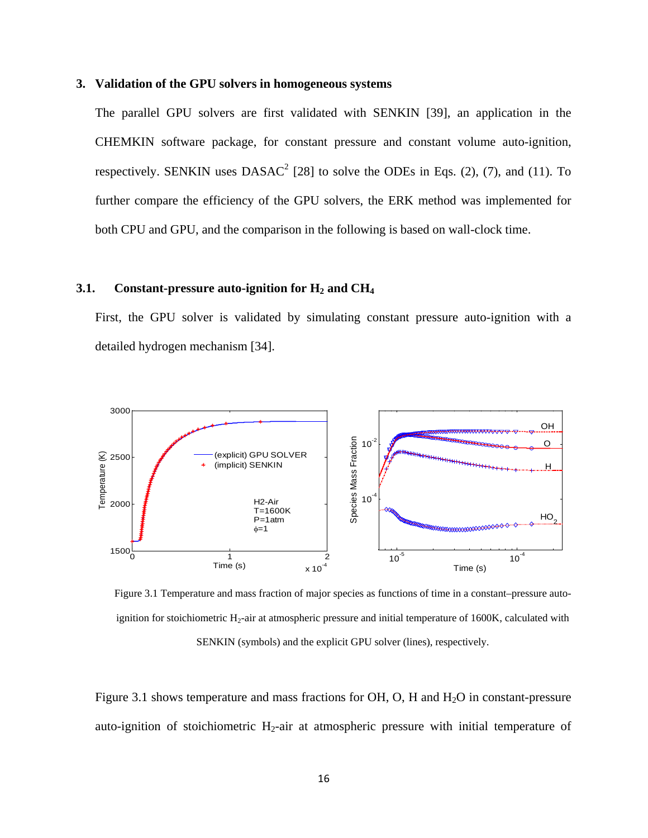#### <span id="page-21-0"></span>**3. Validation of the GPU solvers in homogeneous systems**

The parallel GPU solvers are first validated with SENKIN [39], an application in the CHEMKIN software package, for constant pressure and constant volume auto-ignition, respectively. SENKIN uses  $DASAC^2$  [28] to solve the ODEs in Eqs. (2), (7), and (11). To further compare the efficiency of the GPU solvers, the ERK method was implemented for both CPU and GPU, and the comparison in the following is based on wall-clock time.

#### <span id="page-21-1"></span>**3.1. Constant-pressure auto-ignition** for  $H_2$  **and**  $CH_4$

First, the GPU solver is validated by simulating constant pressure auto-ignition with a detailed hydrogen mechanism [34].



Figure 3.1 Temperature and mass fraction of major species as functions of time in a constant–pressure autoignition for stoichiometric  $H_2$ -air at atmospheric pressure and initial temperature of 1600K, calculated with SENKIN (symbols) and the explicit GPU solver (lines), respectively.

Figure 3.1 shows temperature and mass fractions for OH, O, H and  $H_2O$  in constant-pressure auto-ignition of stoichiometric H<sub>2</sub>-air at atmospheric pressure with initial temperature of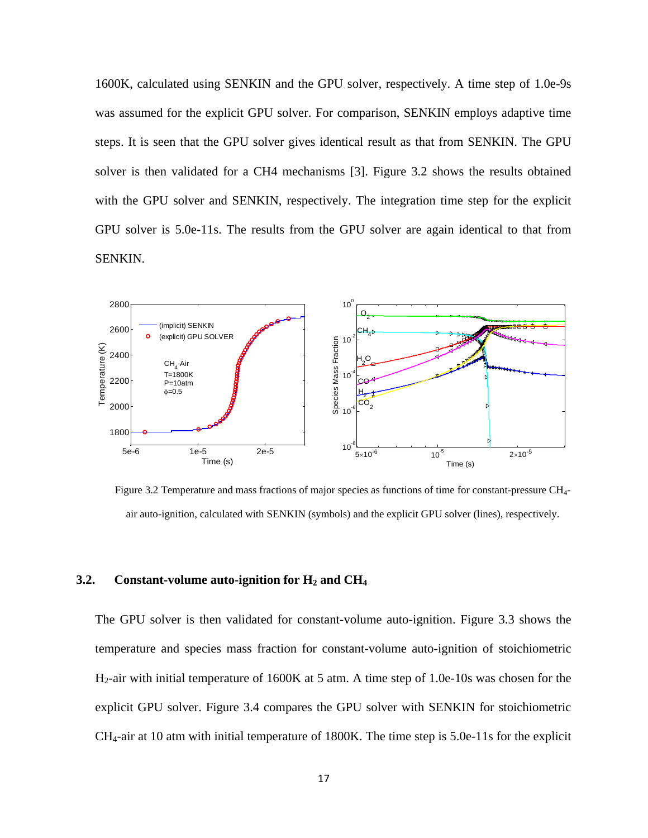1600K, calculated using SENKIN and the GPU solver, respectively. A time step of 1.0e-9s was assumed for the explicit GPU solver. For comparison, SENKIN employs adaptive time steps. It is seen that the GPU solver gives identical result as that from SENKIN. The GPU solver is then validated for a CH4 mechanisms [3]. Figure 3.2 shows the results obtained with the GPU solver and SENKIN, respectively. The integration time step for the explicit GPU solver is 5.0e-11s. The results from the GPU solver are again identical to that from SENKIN.



Figure 3.2 Temperature and mass fractions of major species as functions of time for constant-pressure CH4 air auto-ignition, calculated with SENKIN (symbols) and the explicit GPU solver (lines), respectively.

#### <span id="page-22-0"></span>**3.2. Constant-volume auto-ignition for**  $H_2$  **and**  $CH_4$

The GPU solver is then validated for constant-volume auto-ignition. Figure 3.3 shows the temperature and species mass fraction for constant-volume auto-ignition of stoichiometric H2-air with initial temperature of 1600K at 5 atm. A time step of 1.0e-10s was chosen for the explicit GPU solver. Figure 3.4 compares the GPU solver with SENKIN for stoichiometric  $CH<sub>4</sub>$ -air at 10 atm with initial temperature of 1800K. The time step is 5.0e-11s for the explicit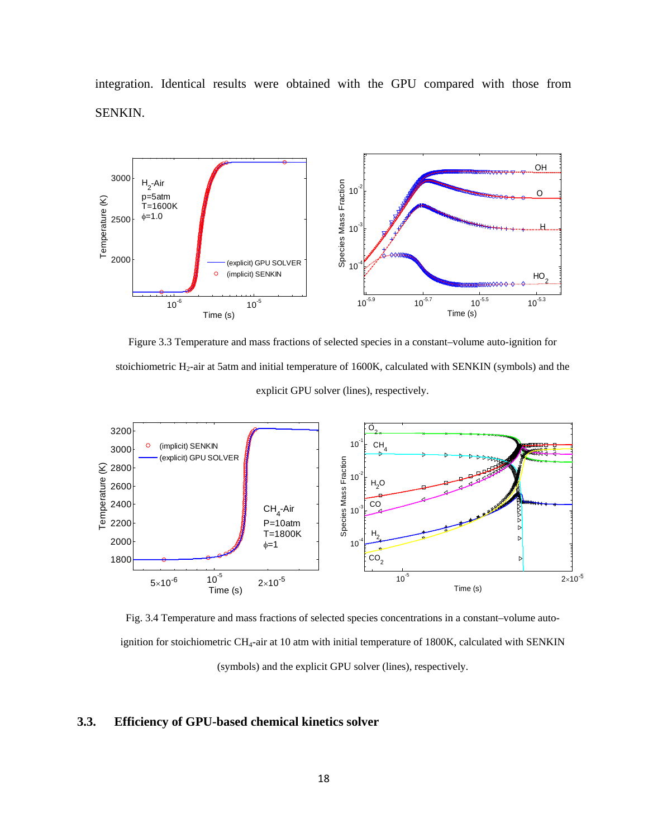integration. Identical results were obtained with the GPU compared with those from SENKIN.



Figure 3.3 Temperature and mass fractions of selected species in a constant–volume auto-ignition for stoichiometric H<sub>2</sub>-air at 5atm and initial temperature of 1600K, calculated with SENKIN (symbols) and the explicit GPU solver (lines), respectively.



Fig. 3.4 Temperature and mass fractions of selected species concentrations in a constant–volume autoignition for stoichiometric CH<sub>4</sub>-air at 10 atm with initial temperature of 1800K, calculated with SENKIN (symbols) and the explicit GPU solver (lines), respectively.

#### <span id="page-23-0"></span>**3.3. Efficiency of GPU-based chemical kinetics solver**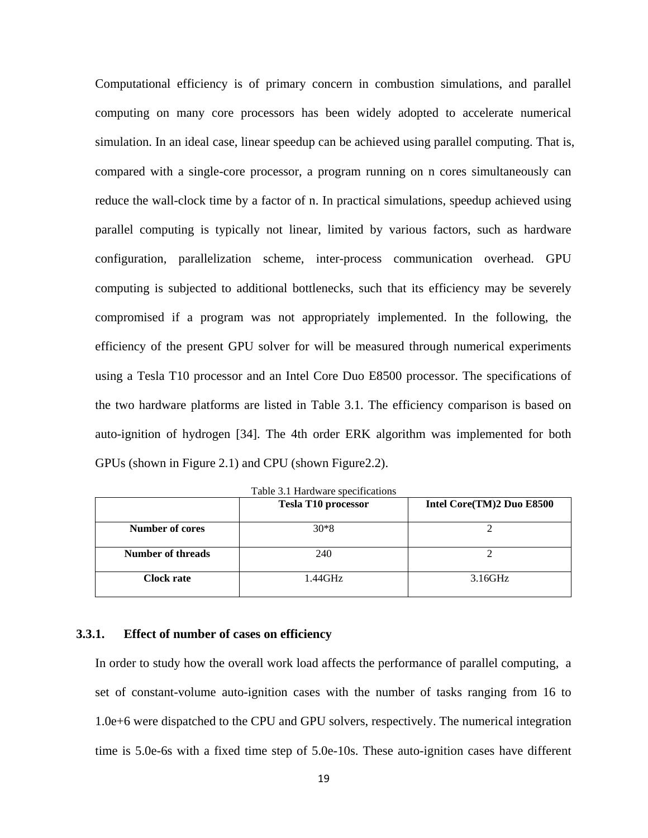Computational efficiency is of primary concern in combustion simulations, and parallel computing on many core processors has been widely adopted to accelerate numerical simulation. In an ideal case, linear speedup can be achieved using parallel computing. That is, compared with a single-core processor, a program running on n cores simultaneously can reduce the wall-clock time by a factor of n. In practical simulations, speedup achieved using parallel computing is typically not linear, limited by various factors, such as hardware configuration, parallelization scheme, inter-process communication overhead. GPU computing is subjected to additional bottlenecks, such that its efficiency may be severely compromised if a program was not appropriately implemented. In the following, the efficiency of the present GPU solver for will be measured through numerical experiments using a Tesla T10 processor and an Intel Core Duo E8500 processor. The specifications of the two hardware platforms are listed in Table 3.1. The efficiency comparison is based on auto-ignition of hydrogen [34]. The 4th order ERK algorithm was implemented for both GPUs (shown in Figure 2.1) and CPU (shown Figure2.2).

|                   | <b>Tesla T10 processor</b> | Intel Core(TM)2 Duo E8500 |
|-------------------|----------------------------|---------------------------|
| Number of cores   | $30*8$                     |                           |
| Number of threads | 240                        |                           |
| Clock rate        | 1.44GHz                    | 3.16GHz                   |

Table 3.1 Hardware specifications

#### <span id="page-24-0"></span>**3.3.1. Effect of number of cases on efficiency**

In order to study how the overall work load affects the performance of parallel computing, a set of constant-volume auto-ignition cases with the number of tasks ranging from 16 to 1.0e+6 were dispatched to the CPU and GPU solvers, respectively. The numerical integration time is 5.0e-6s with a fixed time step of 5.0e-10s. These auto-ignition cases have different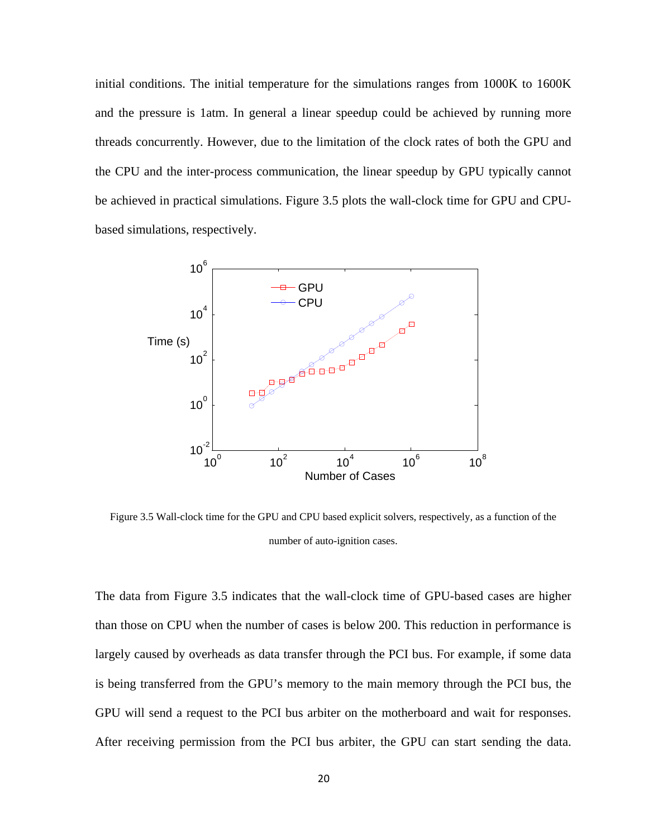initial conditions. The initial temperature for the simulations ranges from 1000K to 1600K and the pressure is 1atm. In general a linear speedup could be achieved by running more threads concurrently. However, due to the limitation of the clock rates of both the GPU and the CPU and the inter-process communication, the linear speedup by GPU typically cannot be achieved in practical simulations. Figure 3.5 plots the wall-clock time for GPU and CPUbased simulations, respectively.



Figure 3.5 Wall-clock time for the GPU and CPU based explicit solvers, respectively, as a function of the number of auto-ignition cases.

The data from Figure 3.5 indicates that the wall-clock time of GPU-based cases are higher than those on CPU when the number of cases is below 200. This reduction in performance is largely caused by overheads as data transfer through the PCI bus. For example, if some data is being transferred from the GPU's memory to the main memory through the PCI bus, the GPU will send a request to the PCI bus arbiter on the motherboard and wait for responses. After receiving permission from the PCI bus arbiter, the GPU can start sending the data.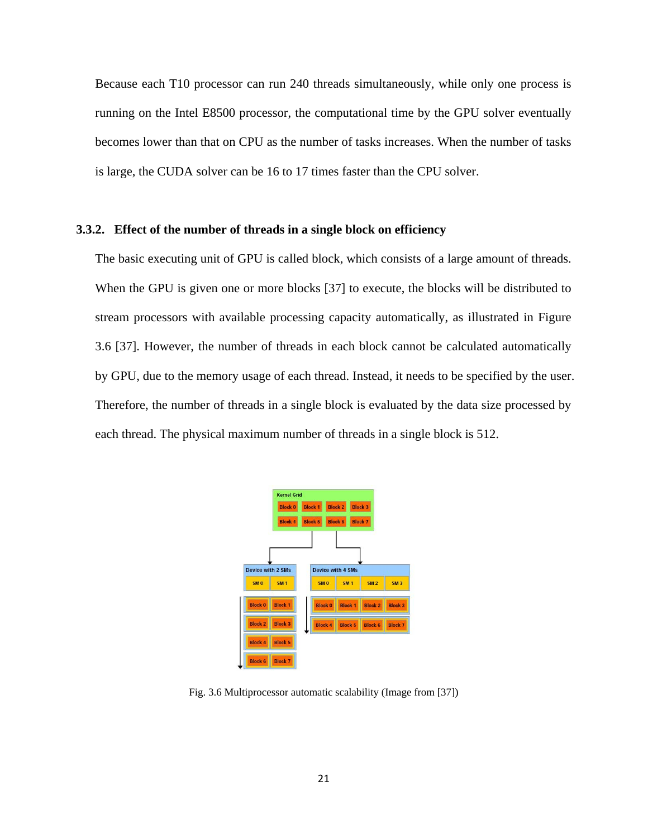Because each T10 processor can run 240 threads simultaneously, while only one process is running on the Intel E8500 processor, the computational time by the GPU solver eventually becomes lower than that on CPU as the number of tasks increases. When the number of tasks is large, the CUDA solver can be 16 to 17 times faster than the CPU solver.

#### <span id="page-26-0"></span>**3.3.2. Effect of the number of threads in a single block on efficiency**

The basic executing unit of GPU is called block, which consists of a large amount of threads. When the GPU is given one or more blocks [37] to execute, the blocks will be distributed to stream processors with available processing capacity automatically, as illustrated in Figure 3.6 [37]. However, the number of threads in each block cannot be calculated automatically by GPU, due to the memory usage of each thread. Instead, it needs to be specified by the user. Therefore, the number of threads in a single block is evaluated by the data size processed by each thread. The physical maximum number of threads in a single block is 512.



Fig. 3.6 Multiprocessor automatic scalability (Image from [37])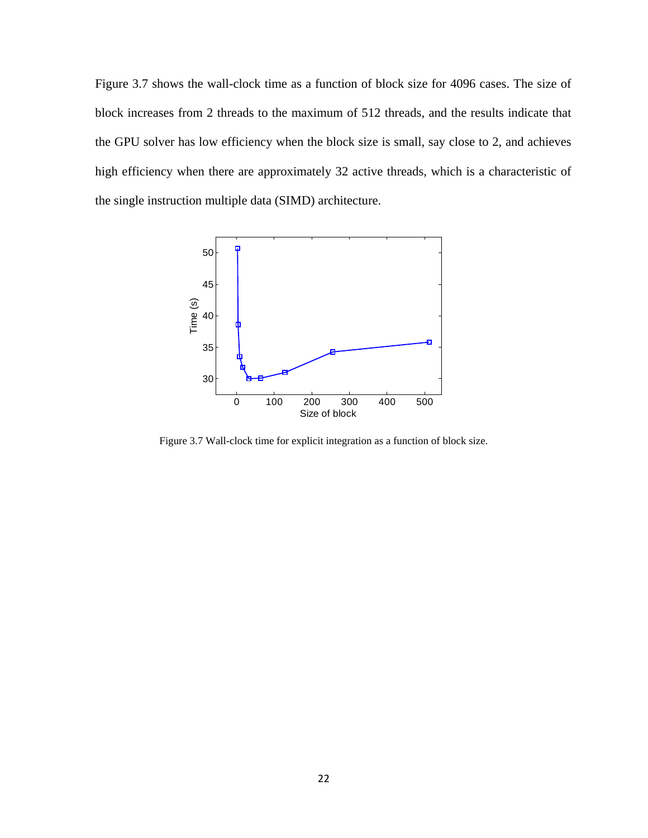Figure 3.7 shows the wall-clock time as a function of block size for 4096 cases. The size of block increases from 2 threads to the maximum of 512 threads, and the results indicate that the GPU solver has low efficiency when the block size is small, say close to 2, and achieves high efficiency when there are approximately 32 active threads, which is a characteristic of the single instruction multiple data (SIMD) architecture.



Figure 3.7 Wall-clock time for explicit integration as a function of block size.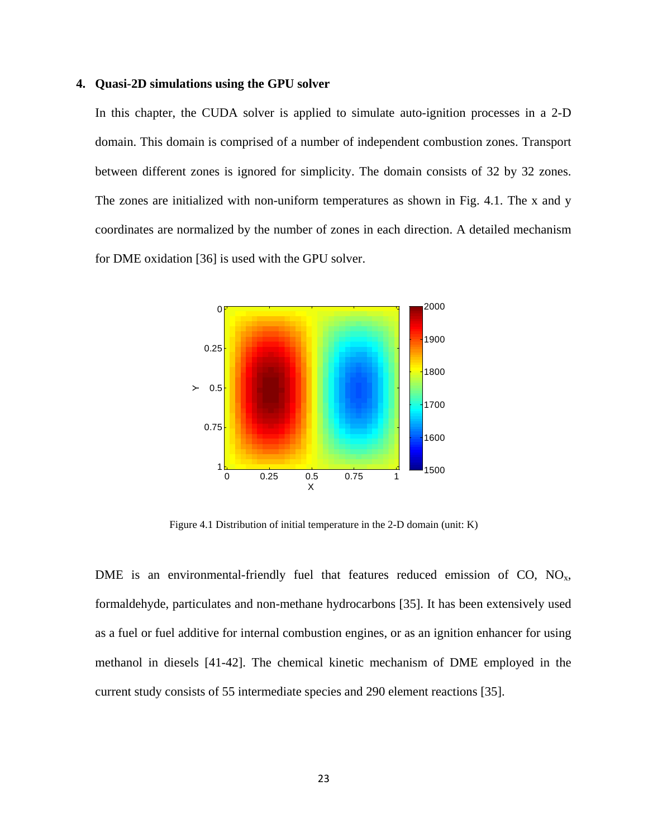#### <span id="page-28-0"></span>**4. Quasi-2D simulations using the GPU solver**

In this chapter, the CUDA solver is applied to simulate auto-ignition processes in a 2-D domain. This domain is comprised of a number of independent combustion zones. Transport between different zones is ignored for simplicity. The domain consists of 32 by 32 zones. The zones are initialized with non-uniform temperatures as shown in Fig. 4.1. The x and y coordinates are normalized by the number of zones in each direction. A detailed mechanism for DME oxidation [36] is used with the GPU solver.



Figure 4.1 Distribution of initial temperature in the 2-D domain (unit: K)

DME is an environmental-friendly fuel that features reduced emission of  $CO$ ,  $NO<sub>x</sub>$ , formaldehyde, particulates and non-methane hydrocarbons [35]. It has been extensively used as a fuel or fuel additive for internal combustion engines, or as an ignition enhancer for using methanol in diesels [41-42]. The chemical kinetic mechanism of DME employed in the current study consists of 55 intermediate species and 290 element reactions [35].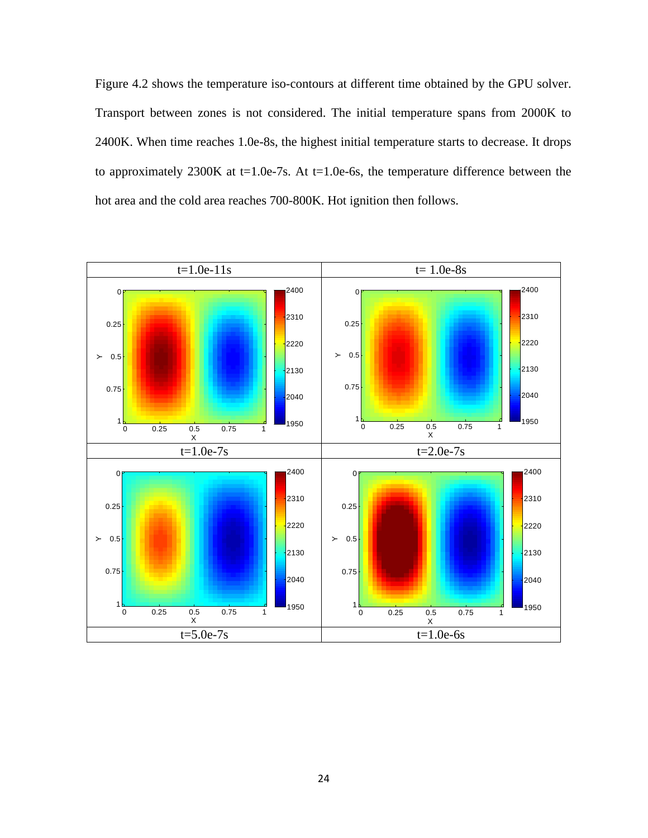Figure 4.2 shows the temperature iso-contours at different time obtained by the GPU solver. Transport between zones is not considered. The initial temperature spans from 2000K to 2400K. When time reaches 1.0e-8s, the highest initial temperature starts to decrease. It drops to approximately 2300K at  $t=1.0e-7s$ . At  $t=1.0e-6s$ , the temperature difference between the hot area and the cold area reaches 700-800K. Hot ignition then follows.

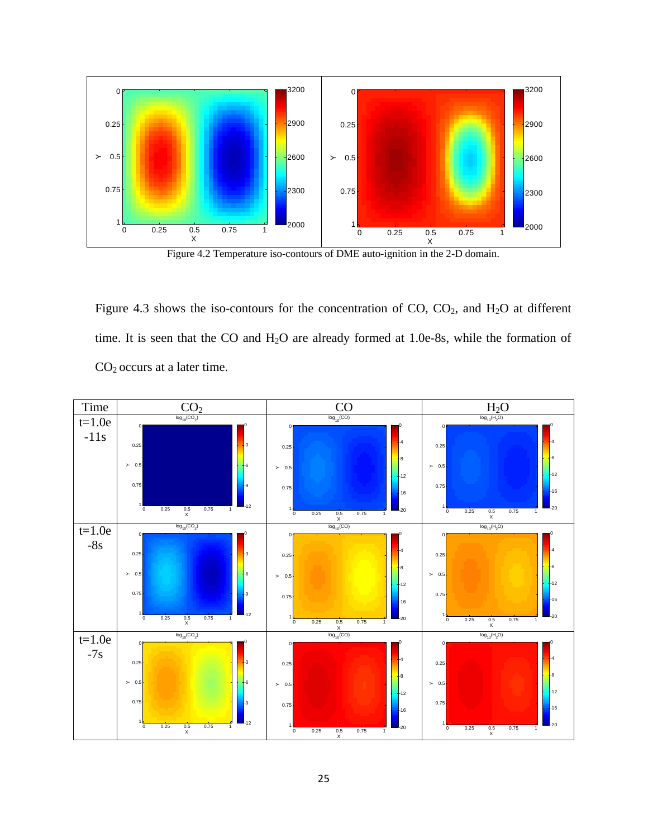

Figure 4.2 Temperature iso-contours of DME auto-ignition in the 2-D domain.

Figure 4.3 shows the iso-contours for the concentration of  $CO$ ,  $CO<sub>2</sub>$ , and  $H<sub>2</sub>O$  at different time. It is seen that the CO and  $H_2O$  are already formed at 1.0e-8s, while the formation of CO2 occurs at a later time.

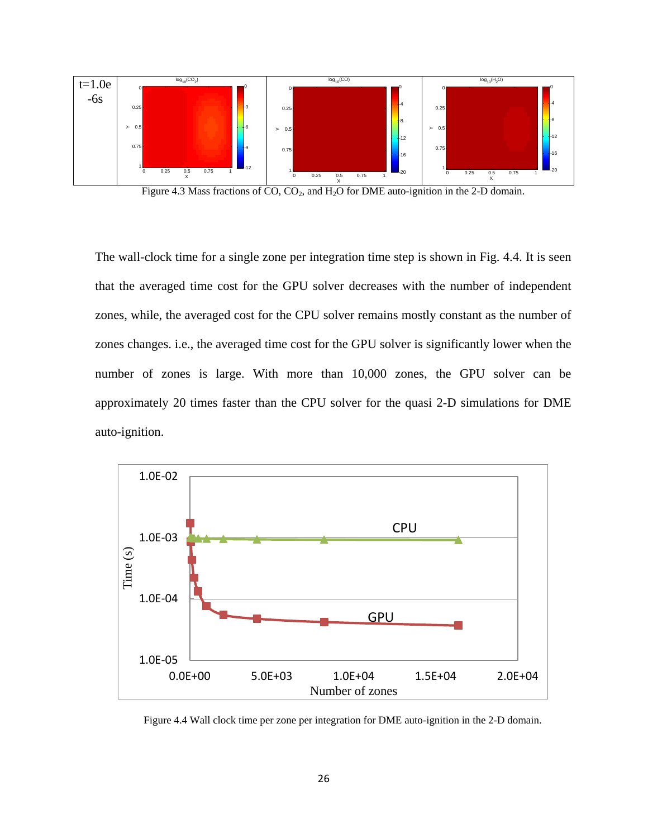

Figure 4.3 Mass fractions of  $CO$ ,  $CO<sub>2</sub>$ , and  $H<sub>2</sub>O$  for DME auto-ignition in the 2-D domain.

The wall-clock time for a single zone per integration time step is shown in Fig. 4.4. It is seen that the averaged time cost for the GPU solver decreases with the number of independent zones, while, the averaged cost for the CPU solver remains mostly constant as the number of zones changes. i.e., the averaged time cost for the GPU solver is significantly lower when the number of zones is large. With more than 10,000 zones, the GPU solver can be approximately 20 times faster than the CPU solver for the quasi 2-D simulations for DME auto-ignition.



Figure 4.4 Wall clock time per zone per integration for DME auto-ignition in the 2-D domain.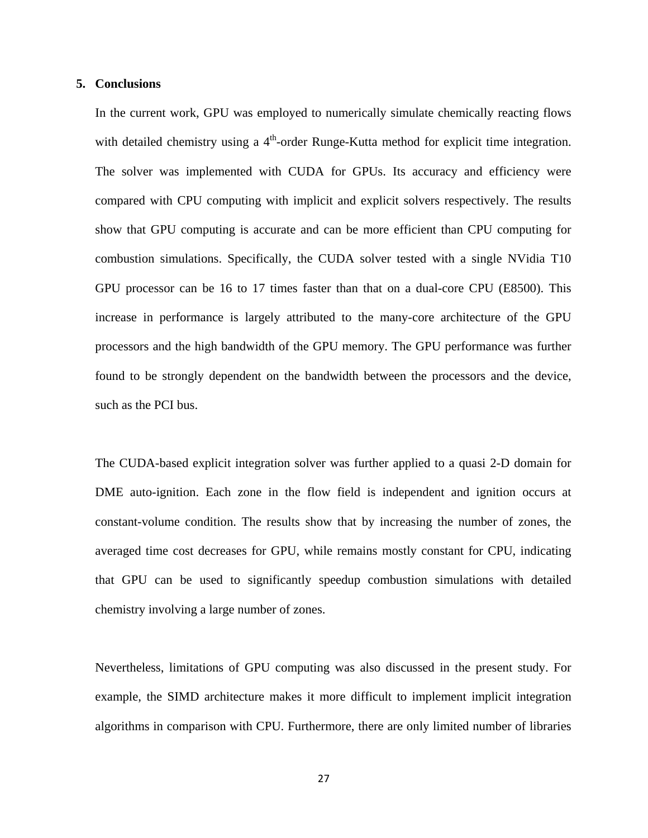#### <span id="page-32-0"></span>**5. Conclusions**

In the current work, GPU was employed to numerically simulate chemically reacting flows with detailed chemistry using a  $4<sup>th</sup>$ -order Runge-Kutta method for explicit time integration. The solver was implemented with CUDA for GPUs. Its accuracy and efficiency were compared with CPU computing with implicit and explicit solvers respectively. The results show that GPU computing is accurate and can be more efficient than CPU computing for combustion simulations. Specifically, the CUDA solver tested with a single NVidia T10 GPU processor can be 16 to 17 times faster than that on a dual-core CPU (E8500). This increase in performance is largely attributed to the many-core architecture of the GPU processors and the high bandwidth of the GPU memory. The GPU performance was further found to be strongly dependent on the bandwidth between the processors and the device, such as the PCI bus.

The CUDA-based explicit integration solver was further applied to a quasi 2-D domain for DME auto-ignition. Each zone in the flow field is independent and ignition occurs at constant-volume condition. The results show that by increasing the number of zones, the averaged time cost decreases for GPU, while remains mostly constant for CPU, indicating that GPU can be used to significantly speedup combustion simulations with detailed chemistry involving a large number of zones.

Nevertheless, limitations of GPU computing was also discussed in the present study. For example, the SIMD architecture makes it more difficult to implement implicit integration algorithms in comparison with CPU. Furthermore, there are only limited number of libraries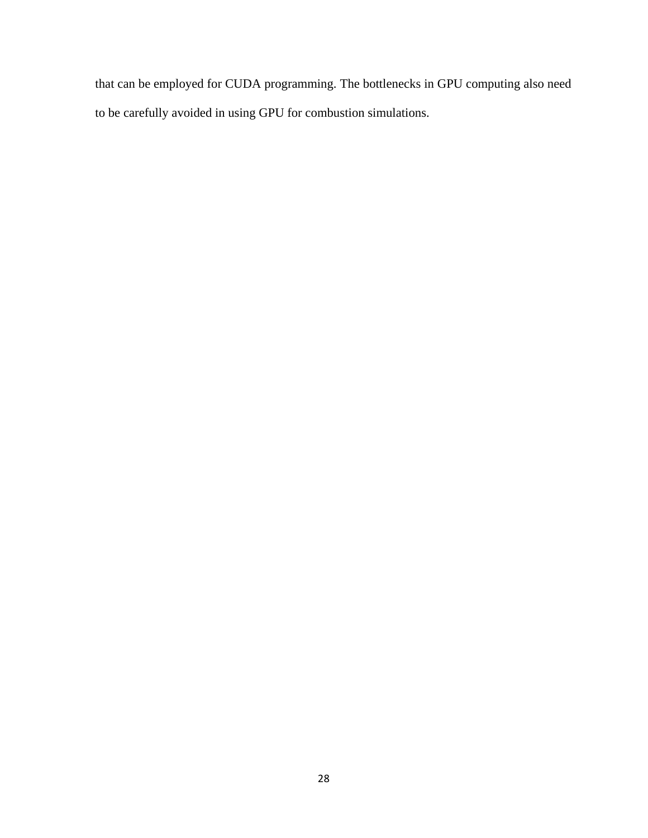that can be employed for CUDA programming. The bottlenecks in GPU computing also need to be carefully avoided in using GPU for combustion simulations.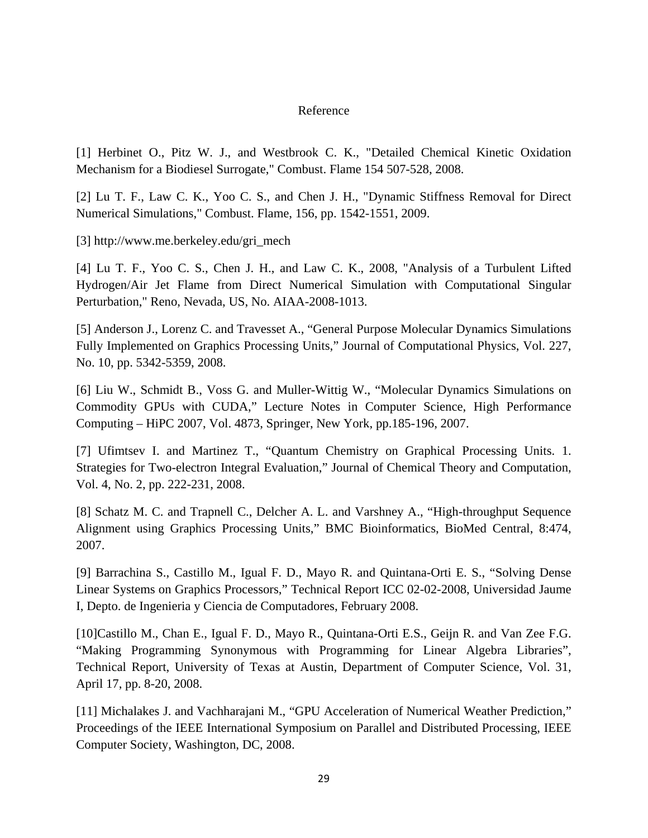#### Reference

[1] Herbinet O., Pitz W. J., and Westbrook C. K., "Detailed Chemical Kinetic Oxidation Mechanism for a Biodiesel Surrogate," Combust. Flame 154 507-528, 2008.

[2] Lu T. F., Law C. K., Yoo C. S., and Chen J. H., "Dynamic Stiffness Removal for Direct Numerical Simulations," Combust. Flame, 156, pp. 1542-1551, 2009.

[3] http://www.me.berkeley.edu/gri\_mech

[4] Lu T. F., Yoo C. S., Chen J. H., and Law C. K., 2008, "Analysis of a Turbulent Lifted Hydrogen/Air Jet Flame from Direct Numerical Simulation with Computational Singular Perturbation," Reno, Nevada, US, No. AIAA-2008-1013.

[5] Anderson J., Lorenz C. and Travesset A., "General Purpose Molecular Dynamics Simulations Fully Implemented on Graphics Processing Units," Journal of Computational Physics, Vol. 227, No. 10, pp. 5342-5359, 2008.

[6] Liu W., Schmidt B., Voss G. and Muller-Wittig W., "Molecular Dynamics Simulations on Commodity GPUs with CUDA," Lecture Notes in Computer Science, High Performance Computing – HiPC 2007, Vol. 4873, Springer, New York, pp.185-196, 2007.

[7] Ufimtsev I. and Martinez T., "Quantum Chemistry on Graphical Processing Units. 1. Strategies for Two-electron Integral Evaluation," Journal of Chemical Theory and Computation, Vol. 4, No. 2, pp. 222-231, 2008.

[8] Schatz M. C. and Trapnell C., Delcher A. L. and Varshney A., "High-throughput Sequence Alignment using Graphics Processing Units," BMC Bioinformatics, BioMed Central, 8:474, 2007.

[9] Barrachina S., Castillo M., Igual F. D., Mayo R. and Quintana-Orti E. S., "Solving Dense Linear Systems on Graphics Processors," Technical Report ICC 02-02-2008, Universidad Jaume I, Depto. de Ingenieria y Ciencia de Computadores, February 2008.

[10]Castillo M., Chan E., Igual F. D., Mayo R., Quintana-Orti E.S., Geijn R. and Van Zee F.G. "Making Programming Synonymous with Programming for Linear Algebra Libraries", Technical Report, University of Texas at Austin, Department of Computer Science, Vol. 31, April 17, pp. 8-20, 2008.

[11] Michalakes J. and Vachharajani M., "GPU Acceleration of Numerical Weather Prediction," Proceedings of the IEEE International Symposium on Parallel and Distributed Processing, IEEE Computer Society, Washington, DC, 2008.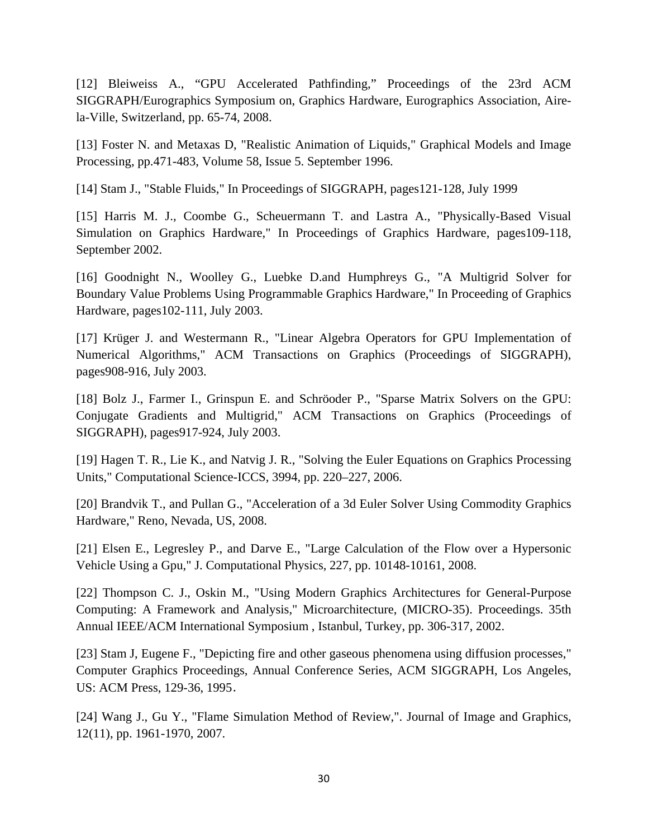[12] Bleiweiss A., "GPU Accelerated Pathfinding," Proceedings of the 23rd ACM SIGGRAPH/Eurographics Symposium on, Graphics Hardware, Eurographics Association, Airela-Ville, Switzerland, pp. 65-74, 2008.

[13] Foster N. and Metaxas D, "Realistic Animation of Liquids," Graphical Models and Image Processing, pp.471-483, Volume 58, Issue 5. September 1996.

[14] Stam J., "Stable Fluids," In Proceedings of SIGGRAPH, pages121-128, July 1999

[15] Harris M. J., Coombe G., Scheuermann T. and Lastra A., "Physically-Based Visual Simulation on Graphics Hardware," In Proceedings of Graphics Hardware, pages109-118, September 2002.

[16] Goodnight N., Woolley G., Luebke D.and Humphreys G., "A Multigrid Solver for Boundary Value Problems Using Programmable Graphics Hardware," In Proceeding of Graphics Hardware, pages102-111, July 2003.

[17] Krüger J. and Westermann R., "Linear Algebra Operators for GPU Implementation of Numerical Algorithms," ACM Transactions on Graphics (Proceedings of SIGGRAPH), pages908-916, July 2003.

[18] Bolz J., Farmer I., Grinspun E. and Schröoder P., "Sparse Matrix Solvers on the GPU: Conjugate Gradients and Multigrid," ACM Transactions on Graphics (Proceedings of SIGGRAPH), pages917-924, July 2003.

[19] Hagen T. R., Lie K., and Natvig J. R., "Solving the Euler Equations on Graphics Processing Units," Computational Science-ICCS, 3994, pp. 220–227, 2006.

[20] Brandvik T., and Pullan G., "Acceleration of a 3d Euler Solver Using Commodity Graphics Hardware," Reno, Nevada, US, 2008.

[21] Elsen E., Legresley P., and Darve E., "Large Calculation of the Flow over a Hypersonic Vehicle Using a Gpu," J. Computational Physics, 227, pp. 10148-10161, 2008.

[22] Thompson C. J., Oskin M., "Using Modern Graphics Architectures for General-Purpose Computing: A Framework and Analysis," Microarchitecture, (MICRO-35). Proceedings. 35th Annual IEEE/ACM International Symposium , Istanbul, Turkey, pp. 306-317, 2002.

[23] Stam J, Eugene F., "Depicting fire and other gaseous phenomena using diffusion processes," Computer Graphics Proceedings, Annual Conference Series, ACM SIGGRAPH, Los Angeles, US: ACM Press, 129-36, 1995.

[24] Wang J., Gu Y., "Flame Simulation Method of Review,". Journal of Image and Graphics, 12(11), pp. 1961-1970, 2007.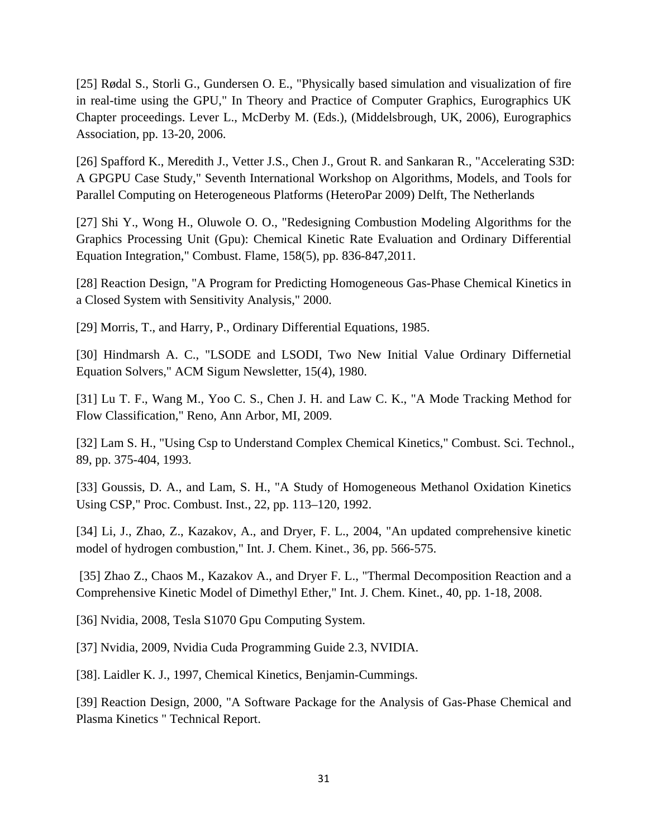[25] Rødal S., Storli G., Gundersen O. E., "Physically based simulation and visualization of fire in real-time using the GPU," In Theory and Practice of Computer Graphics, Eurographics UK Chapter proceedings. Lever L., McDerby M. (Eds.), (Middelsbrough, UK, 2006), Eurographics Association, pp. 13-20, 2006.

[26] Spafford K., Meredith J., Vetter J.S., Chen J., Grout R. and Sankaran R., "Accelerating S3D: A GPGPU Case Study," Seventh International Workshop on Algorithms, Models, and Tools for Parallel Computing on Heterogeneous Platforms (HeteroPar 2009) Delft, The Netherlands

[27] Shi Y., Wong H., Oluwole O. O., "Redesigning Combustion Modeling Algorithms for the Graphics Processing Unit (Gpu): Chemical Kinetic Rate Evaluation and Ordinary Differential Equation Integration," Combust. Flame, 158(5), pp. 836-847,2011.

[28] Reaction Design, "A Program for Predicting Homogeneous Gas-Phase Chemical Kinetics in a Closed System with Sensitivity Analysis," 2000.

[29] Morris, T., and Harry, P., Ordinary Differential Equations, 1985.

[30] Hindmarsh A. C., "LSODE and LSODI, Two New Initial Value Ordinary Differnetial Equation Solvers," ACM Sigum Newsletter, 15(4), 1980.

[31] Lu T. F., Wang M., Yoo C. S., Chen J. H. and Law C. K., "A Mode Tracking Method for Flow Classification," Reno, Ann Arbor, MI, 2009.

[32] Lam S. H., "Using Csp to Understand Complex Chemical Kinetics," Combust. Sci. Technol., 89, pp. 375-404, 1993.

[33] Goussis, D. A., and Lam, S. H., "A Study of Homogeneous Methanol Oxidation Kinetics Using CSP," Proc. Combust. Inst., 22, pp. 113–120, 1992.

[34] Li, J., Zhao, Z., Kazakov, A., and Dryer, F. L., 2004, "An updated comprehensive kinetic model of hydrogen combustion," Int. J. Chem. Kinet., 36, pp. 566-575.

[35] Zhao Z., Chaos M., Kazakov A., and Dryer F. L., "Thermal Decomposition Reaction and a Comprehensive Kinetic Model of Dimethyl Ether," Int. J. Chem. Kinet., 40, pp. 1-18, 2008.

[36] Nvidia, 2008, Tesla S1070 Gpu Computing System.

[37] Nvidia, 2009, Nvidia Cuda Programming Guide 2.3, NVIDIA.

[38]. Laidler K. J., 1997, Chemical Kinetics, Benjamin-Cummings.

[39] Reaction Design, 2000, "A Software Package for the Analysis of Gas-Phase Chemical and Plasma Kinetics " Technical Report.